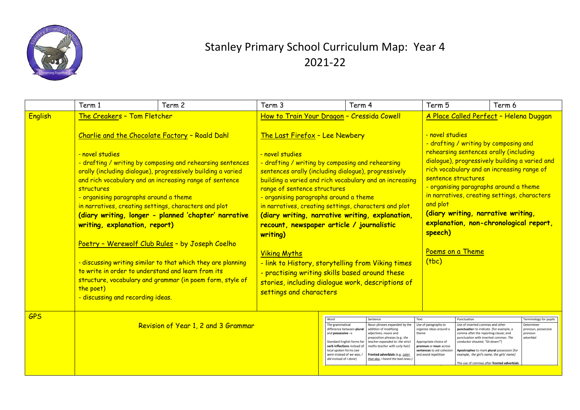

## Stanley Primary School Curriculum Map: Year 4 2021-22

|                | Term 1                                                                                                                                                                                                                                                                                                                                                                         | Term 2                                                                                                                                                                                                                                                                                                                                                                     | Term 3                                                                                                                                                                                                                                                                                                                                                                                                                                                                                                                                                                                                                                                                                | Term 4                                                                                                                                                                                                                                                                 |                                                                                                                                                                                 | Term 5                                                                                                                                                                                                                                                                                                                                                    | Term 6                                                                                                                                                                                                                                                                                                                                                                                                                  |  |  |  |  |
|----------------|--------------------------------------------------------------------------------------------------------------------------------------------------------------------------------------------------------------------------------------------------------------------------------------------------------------------------------------------------------------------------------|----------------------------------------------------------------------------------------------------------------------------------------------------------------------------------------------------------------------------------------------------------------------------------------------------------------------------------------------------------------------------|---------------------------------------------------------------------------------------------------------------------------------------------------------------------------------------------------------------------------------------------------------------------------------------------------------------------------------------------------------------------------------------------------------------------------------------------------------------------------------------------------------------------------------------------------------------------------------------------------------------------------------------------------------------------------------------|------------------------------------------------------------------------------------------------------------------------------------------------------------------------------------------------------------------------------------------------------------------------|---------------------------------------------------------------------------------------------------------------------------------------------------------------------------------|-----------------------------------------------------------------------------------------------------------------------------------------------------------------------------------------------------------------------------------------------------------------------------------------------------------------------------------------------------------|-------------------------------------------------------------------------------------------------------------------------------------------------------------------------------------------------------------------------------------------------------------------------------------------------------------------------------------------------------------------------------------------------------------------------|--|--|--|--|
| <b>English</b> | The Creakers - Tom Fletcher                                                                                                                                                                                                                                                                                                                                                    | How to Train Your Dragon - Cressida Cowell                                                                                                                                                                                                                                                                                                                                 |                                                                                                                                                                                                                                                                                                                                                                                                                                                                                                                                                                                                                                                                                       |                                                                                                                                                                                                                                                                        |                                                                                                                                                                                 | A Place Called Perfect - Helena Duggan                                                                                                                                                                                                                                                                                                                    |                                                                                                                                                                                                                                                                                                                                                                                                                         |  |  |  |  |
|                | Charlie and the Chocolate Factory - Roald Dahl<br>- novel studies<br>structures<br>- organising paragraphs around a theme<br>in narratives, creating settings, characters and plot<br>writing, explanation, report)<br>Poetry - Werewolf Club Rules - by Joseph Coelho<br>to write in order to understand and learn from its<br>the poet)<br>- discussing and recording ideas. | - drafting / writing by composing and rehearsing sentences<br>orally (including dialogue), progressively building a varied<br>and rich vocabulary and an increasing range of sentence<br>(diary writing, longer - planned 'chapter' narrative<br>- discussing writing similar to that which they are planning<br>structure, vocabulary and grammar (in poem form, style of | The Last Firefox - Lee Newbery<br>- novel studies<br>- drafting / writing by composing and rehearsing<br>sentences orally (including dialogue), progressively<br>building a varied and rich vocabulary and an increasing<br>range of sentence structures<br>- organising paragraphs around a theme<br>in narratives, creating settings, characters and plot<br>(diary writing, narrative writing, explanation,<br>recount, newspaper article / journalistic<br>writing)<br><b>Viking Myths</b><br>- link to History, storytelling from Viking times<br>- practising writing skills based around these<br>stories, including dialogue work, descriptions of<br>settings and characters |                                                                                                                                                                                                                                                                        |                                                                                                                                                                                 | and plot<br>speech)<br>(tbc)                                                                                                                                                                                                                                                                                                                              | - novel studies<br>- drafting / writing by composing and<br>rehearsing sentences orally (including<br>dialogue), progressively building a varied and<br>rich vocabulary and an increasing range of<br>sentence structures<br>- organising paragraphs around a theme<br>in narratives, creating settings, characters<br>(diary writing, narrative writing,<br>explanation, non-chronological report,<br>Poems on a Theme |  |  |  |  |
| <b>GPS</b>     | Revision of Year 1, 2 and 3 Grammar                                                                                                                                                                                                                                                                                                                                            |                                                                                                                                                                                                                                                                                                                                                                            | Word<br>The grammatical<br>difference between plural<br>and <b>possessive</b> $-s$<br><b>Standard English forms for</b><br>verb inflections instead of<br>local spoken forms (we<br>were instead of we was, I<br>did instead of I done)                                                                                                                                                                                                                                                                                                                                                                                                                                               | Sentence<br>Noun phrases expanded by the<br>addition of modifying<br>adiectives, nouns and<br>preposition phrases (e.g. the<br>teacher expanded to: the strict<br>maths teacher with curly hair)<br>Fronted adverbials (e.g. Later<br>that day, I heard the bad news.) | <b>Text</b><br>Use of paragraphs to<br>organise ideas around a<br>theme<br>Appropriate choice of<br>pronoun or noun across<br>sentences to aid cohesion<br>and avoid repetition | Punctuation<br>Use of inverted commas and other<br>punctuation to indicate [for example, a<br>comma after the reporting clause; end<br>punctuation with inverted commas: The<br>conductor shouted. "Sit down!"]<br>Apostrophes to mark plural possession [for<br>example, the girl's name, the girls' name]<br>The use of commas after fronted adverbials | <b>Terminology for pupils</b><br><b>Determiner</b><br>pronoun, possessive<br>pronoun<br>adverbial                                                                                                                                                                                                                                                                                                                       |  |  |  |  |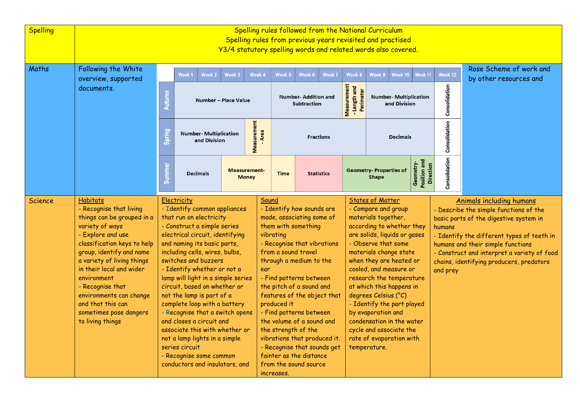| <b>Spelling</b> | Spelling rules followed from the National Curriculum<br>Spelling rules from previous years revisited and practised<br>Y3/4 statutory spelling words and related words also covered.                                                                                                                                                                                    |                                                                                                                                                                                                                                                                                                                                                                                                                                                                                                                                                                                                                      |                                               |            |                                                                                                                                                                                                                                                                                                                                                                                                                                                                                                    |             |                                                   |                                                                                                                                                                                                                                                                                                                                                                                                                                                                                  |                                                                                                         |                                                                                                                                                                                                                                                                                                                  |               |                                                   |
|-----------------|------------------------------------------------------------------------------------------------------------------------------------------------------------------------------------------------------------------------------------------------------------------------------------------------------------------------------------------------------------------------|----------------------------------------------------------------------------------------------------------------------------------------------------------------------------------------------------------------------------------------------------------------------------------------------------------------------------------------------------------------------------------------------------------------------------------------------------------------------------------------------------------------------------------------------------------------------------------------------------------------------|-----------------------------------------------|------------|----------------------------------------------------------------------------------------------------------------------------------------------------------------------------------------------------------------------------------------------------------------------------------------------------------------------------------------------------------------------------------------------------------------------------------------------------------------------------------------------------|-------------|---------------------------------------------------|----------------------------------------------------------------------------------------------------------------------------------------------------------------------------------------------------------------------------------------------------------------------------------------------------------------------------------------------------------------------------------------------------------------------------------------------------------------------------------|---------------------------------------------------------------------------------------------------------|------------------------------------------------------------------------------------------------------------------------------------------------------------------------------------------------------------------------------------------------------------------------------------------------------------------|---------------|---------------------------------------------------|
| Maths           | Following the White<br>overview, supported<br>documents.                                                                                                                                                                                                                                                                                                               |                                                                                                                                                                                                                                                                                                                                                                                                                                                                                                                                                                                                                      | Week 2<br>Week <sub>1</sub>                   | Week 3     | Week 4                                                                                                                                                                                                                                                                                                                                                                                                                                                                                             | Week 5      | Week 6<br>Week 7                                  | Week 8                                                                                                                                                                                                                                                                                                                                                                                                                                                                           | Week 9<br>Week 10                                                                                       | Week 11                                                                                                                                                                                                                                                                                                          | Week 12       | Rose Scheme of work and<br>by other resources and |
|                 |                                                                                                                                                                                                                                                                                                                                                                        | <b>Autumn</b><br>Number - Place Value                                                                                                                                                                                                                                                                                                                                                                                                                                                                                                                                                                                |                                               |            |                                                                                                                                                                                                                                                                                                                                                                                                                                                                                                    |             | <b>Number- Addition and</b><br><b>Subtraction</b> |                                                                                                                                                                                                                                                                                                                                                                                                                                                                                  | Measurement<br>Length and<br>Perimeter<br><b>Number- Multiplication</b><br>and Division<br>$\mathbf{u}$ |                                                                                                                                                                                                                                                                                                                  | Consolidation |                                                   |
|                 |                                                                                                                                                                                                                                                                                                                                                                        | <b>Spring</b>                                                                                                                                                                                                                                                                                                                                                                                                                                                                                                                                                                                                        | <b>Number- Multiplication</b><br>and Division |            | Measurement<br>- Area<br><b>Fractions</b>                                                                                                                                                                                                                                                                                                                                                                                                                                                          |             |                                                   | <b>Decimals</b>                                                                                                                                                                                                                                                                                                                                                                                                                                                                  |                                                                                                         | Consolidation                                                                                                                                                                                                                                                                                                    |               |                                                   |
|                 |                                                                                                                                                                                                                                                                                                                                                                        | <b>Summe</b>                                                                                                                                                                                                                                                                                                                                                                                                                                                                                                                                                                                                         | <b>Decimals</b>                               |            | <b>Measurement-</b><br><b>Money</b>                                                                                                                                                                                                                                                                                                                                                                                                                                                                | <b>Time</b> | <b>Statistics</b>                                 |                                                                                                                                                                                                                                                                                                                                                                                                                                                                                  | <b>Geometry-Properties of</b><br><b>Shape</b>                                                           | Position and<br>Direction<br>Geometry-                                                                                                                                                                                                                                                                           | Consolidation |                                                   |
| Science         | <b>Habitats</b><br>- Recognise that living<br>things can be grouped in a<br>variety of ways<br>- Explore and use<br>classification keys to help<br>group, identify and name<br>a variety of living things<br>in their local and wider<br>environment<br>- Recognise that<br>environments can change<br>and that this can<br>sometimes pose dangers<br>to living things | Electricity<br>- Identify common appliances<br>that run on electricity<br>- Construct a simple series<br>electrical circuit, identifying<br>and naming its basic parts,<br>including cells, wires, bulbs,<br>switches and buzzers<br>- Identify whether or not a<br>lamp will light in a simple series<br>circuit, based on whether or<br>not the lamp is part of a<br>complete loop with a battery<br>- Recognise that a switch opens<br>and closes a circuit and<br>associate this with whether or<br>not a lamp lights in a simple<br>series circuit<br>- Recognise some common<br>conductors and insulators, and |                                               | increases. | Sound<br>- Identify how sounds are<br>made, associating some of<br>them with something<br>vibrating<br>- Recognise that vibrations<br>from a sound travel<br>through a medium to the<br>ear<br>- Find patterns between<br>the pitch of a sound and<br>features of the object that<br>produced it<br>- Find patterns between<br>the volume of a sound and<br>the strength of the<br>vibrations that produced it.<br>- Recognise that sounds get<br>fainter as the distance<br>from the sound source |             |                                                   | <b>States of Matter</b><br>- Compare and group<br>materials together,<br>according to whether they<br>are solids, liquids or gases<br>- Observe that some<br>materials change state<br>when they are heated or<br>cooled, and measure or<br>research the temperature<br>at which this happens in<br>degrees Celsius (°C)<br>- Identify the part played<br>by evaporation and<br>condensation in the water<br>cycle and associate the<br>rate of evaporation with<br>temperature. |                                                                                                         | Animals including humans<br>- Describe the simple functions of the<br>basic parts of the digestive system in<br>humans<br>- Identify the different types of teeth in<br>humans and their simple functions<br>- Construct and interpret a variety of food<br>chains, identifying producers, predators<br>and prey |               |                                                   |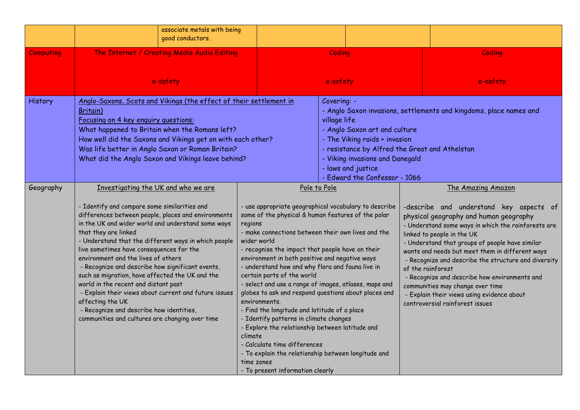|                  | associate metals with being<br>good conductors.                                                                                                                                                                                                                                                                                                                                                                                                                                                                                                                                                                                                                                                |                                                                                                                                                                                                                                                                                                                                                                                                                                                                                                                                                                                                                                              |                                                                                                                                                                                                                                                                                                                 |                                                                                                                                                                                                                                                                                                                                                                                                                                                                                                                                                       |  |  |
|------------------|------------------------------------------------------------------------------------------------------------------------------------------------------------------------------------------------------------------------------------------------------------------------------------------------------------------------------------------------------------------------------------------------------------------------------------------------------------------------------------------------------------------------------------------------------------------------------------------------------------------------------------------------------------------------------------------------|----------------------------------------------------------------------------------------------------------------------------------------------------------------------------------------------------------------------------------------------------------------------------------------------------------------------------------------------------------------------------------------------------------------------------------------------------------------------------------------------------------------------------------------------------------------------------------------------------------------------------------------------|-----------------------------------------------------------------------------------------------------------------------------------------------------------------------------------------------------------------------------------------------------------------------------------------------------------------|-------------------------------------------------------------------------------------------------------------------------------------------------------------------------------------------------------------------------------------------------------------------------------------------------------------------------------------------------------------------------------------------------------------------------------------------------------------------------------------------------------------------------------------------------------|--|--|
| <b>Computing</b> | The Internet / Creating Media Audio Editing                                                                                                                                                                                                                                                                                                                                                                                                                                                                                                                                                                                                                                                    |                                                                                                                                                                                                                                                                                                                                                                                                                                                                                                                                                                                                                                              | Coding                                                                                                                                                                                                                                                                                                          | Coding                                                                                                                                                                                                                                                                                                                                                                                                                                                                                                                                                |  |  |
|                  | e-safety                                                                                                                                                                                                                                                                                                                                                                                                                                                                                                                                                                                                                                                                                       |                                                                                                                                                                                                                                                                                                                                                                                                                                                                                                                                                                                                                                              | e-safety                                                                                                                                                                                                                                                                                                        | e-safety                                                                                                                                                                                                                                                                                                                                                                                                                                                                                                                                              |  |  |
| History          | Anglo-Saxons, Scots and Vikings (the effect of their settlement in<br>Britain)<br>Focusing on 4 key enguiry questions:<br>What happened to Britain when the Romans left?<br>How well did the Saxons and Vikings get on with each other?<br>Was life better in Anglo Saxon or Roman Britain?<br>What did the Anglo Saxon and Vikings leave behind?                                                                                                                                                                                                                                                                                                                                              |                                                                                                                                                                                                                                                                                                                                                                                                                                                                                                                                                                                                                                              | Covering: -<br>- Anglo Saxon invasions, settlements and kingdoms, place names and<br>village life<br>- Anglo Saxon art and culture<br>- The Viking raids + invasion<br>- resistance by Alfred the Great and Athelstan<br>- Viking invasions and Danegald<br>- laws and justice<br>- Edward the Confessor - 1066 |                                                                                                                                                                                                                                                                                                                                                                                                                                                                                                                                                       |  |  |
| Geography        | Investigating the UK and who we are<br>- Identify and compare some similarities and<br>differences between people, places and environments<br>in the UK and wider world and understand some ways<br>that they are linked<br>- Understand that the different ways in which people<br>live sometimes have consequences for the<br>environment and the lives of others<br>- Recognize and describe how significant events,<br>such as migration, have affected the UK and the<br>world in the recent and distant past<br>- Explain their views about current and future issues<br>affecting the UK<br>- Recognize and describe how identities,<br>communities and cultures are changing over time | some of the physical & human features of the polar<br>regions<br>- make connections between their own lives and the<br>wider world<br>- recognise the impact that people have on their<br>environment in both positive and negative ways<br>- understand how and why flora and fauna live in<br>certain parts of the world<br>environments.<br>- Find the longitude and latitude of a place<br>- Identify patterns in climate changes<br>- Explore the relationship between latitude and<br>climate<br>- Calculate time differences<br>- To explain the relationship between longitude and<br>time zones<br>- To present information clearly | Pole to Pole<br>- use appropriate geographical vocabulary to describe<br>- select and use a range of images, atlases, maps and<br>globes to ask and respond questions about places and                                                                                                                          | The Amazing Amazon<br>-describe and understand key aspects of<br>physical geography and human geography<br>- Understand some ways in which the rainforests are<br>linked to people in the UK<br>- Understand that groups of people have similar<br>wants and needs but meet them in different ways<br>- Recognize and describe the structure and diversity<br>of the rainforest<br>- Recognize and describe how environments and<br>communities may change over time<br>- Explain their views using evidence about<br>controversial rainforest issues |  |  |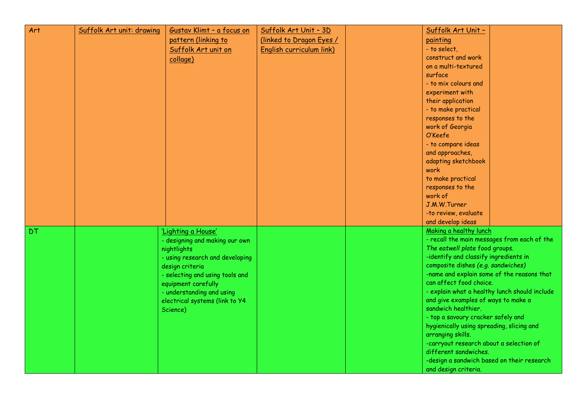| Art       | Suffolk Art unit: drawing | Gustav Klimt - a focus on       | Suffolk Art Unit - 3D    | Suffolk Art Unit -                         |                                               |
|-----------|---------------------------|---------------------------------|--------------------------|--------------------------------------------|-----------------------------------------------|
|           |                           | pattern (linking to             | (linked to Dragon Eyes / | painting                                   |                                               |
|           |                           | Suffolk Art unit on             | English curriculum link) | - to select,                               |                                               |
|           |                           | collage)                        |                          | construct and work                         |                                               |
|           |                           |                                 |                          | on a multi-textured                        |                                               |
|           |                           |                                 |                          | surface                                    |                                               |
|           |                           |                                 |                          | - to mix colours and                       |                                               |
|           |                           |                                 |                          | experiment with                            |                                               |
|           |                           |                                 |                          | their application                          |                                               |
|           |                           |                                 |                          | - to make practical                        |                                               |
|           |                           |                                 |                          | responses to the                           |                                               |
|           |                           |                                 |                          | work of Georgia                            |                                               |
|           |                           |                                 |                          | O'Keefe                                    |                                               |
|           |                           |                                 |                          | - to compare ideas                         |                                               |
|           |                           |                                 |                          | and approaches,                            |                                               |
|           |                           |                                 |                          | adapting sketchbook                        |                                               |
|           |                           |                                 |                          | work                                       |                                               |
|           |                           |                                 |                          | to make practical                          |                                               |
|           |                           |                                 |                          | responses to the                           |                                               |
|           |                           |                                 |                          | work of                                    |                                               |
|           |                           |                                 |                          | J.M.W.Turner                               |                                               |
|           |                           |                                 |                          | -to review, evaluate                       |                                               |
|           |                           |                                 |                          | and develop ideas                          |                                               |
| <b>DT</b> |                           | 'Lighting a House'              |                          | Making a healthy lunch                     |                                               |
|           |                           | - designing and making our own  |                          |                                            | - recall the main messages from each of the   |
|           |                           | nightlights                     |                          | The eatwell plate food groups.             |                                               |
|           |                           | - using research and developing |                          | -identify and classify ingredients in      |                                               |
|           |                           | design criteria                 |                          | composite dishes (e.g. sandwiches)         |                                               |
|           |                           | - selecting and using tools and |                          | -name and explain some of the reasons that |                                               |
|           |                           | equipment carefully             |                          | can affect food choice.                    |                                               |
|           |                           | - understanding and using       |                          |                                            | - explain what a healthy lunch should include |
|           |                           | electrical systems (link to Y4  |                          | and give examples of ways to make a        |                                               |
|           |                           | Science)                        |                          | sandwich healthier.                        |                                               |
|           |                           |                                 |                          | - top a savoury cracker safely and         |                                               |
|           |                           |                                 |                          | hygienically using spreading, slicing and  |                                               |
|           |                           |                                 |                          | arranging skills.                          |                                               |
|           |                           |                                 |                          | -carryout research about a selection of    |                                               |
|           |                           |                                 |                          | different sandwiches.                      |                                               |
|           |                           |                                 |                          | -design a sandwich based on their research |                                               |
|           |                           |                                 |                          | and design criteria.                       |                                               |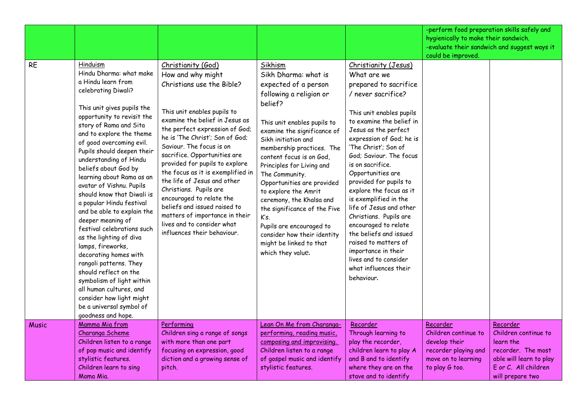|              |                                                                                                                                                                                                                                                                                                                                                                                                                                                                                                                                                                                                                                                                                                                                                                                      |                                                                                                                                                                                                                                                                                                                                                                                                                                                                                                                                                                   |                                                                                                                                                                                                                                                                                                                                                                                                                                                                                                                                 |                                                                                                                                                                                                                                                                                                                                                                                                                                                                                                                                                                                                | -perform food preparation skills safely and<br>hygienically to make their sandwich.             | -evaluate their sandwich and suggest ways it                                                                                               |
|--------------|--------------------------------------------------------------------------------------------------------------------------------------------------------------------------------------------------------------------------------------------------------------------------------------------------------------------------------------------------------------------------------------------------------------------------------------------------------------------------------------------------------------------------------------------------------------------------------------------------------------------------------------------------------------------------------------------------------------------------------------------------------------------------------------|-------------------------------------------------------------------------------------------------------------------------------------------------------------------------------------------------------------------------------------------------------------------------------------------------------------------------------------------------------------------------------------------------------------------------------------------------------------------------------------------------------------------------------------------------------------------|---------------------------------------------------------------------------------------------------------------------------------------------------------------------------------------------------------------------------------------------------------------------------------------------------------------------------------------------------------------------------------------------------------------------------------------------------------------------------------------------------------------------------------|------------------------------------------------------------------------------------------------------------------------------------------------------------------------------------------------------------------------------------------------------------------------------------------------------------------------------------------------------------------------------------------------------------------------------------------------------------------------------------------------------------------------------------------------------------------------------------------------|-------------------------------------------------------------------------------------------------|--------------------------------------------------------------------------------------------------------------------------------------------|
| <b>RE</b>    | Hinduism<br>Hindu Dharma: what make<br>a Hindu learn from<br>celebrating Diwali?<br>This unit gives pupils the<br>opportunity to revisit the<br>story of Rama and Sita<br>and to explore the theme<br>of good overcoming evil.<br>Pupils should deepen their<br>understanding of Hindu<br>beliefs about God by<br>learning about Rama as an<br>avatar of Vishnu. Pupils<br>should know that Diwali is<br>a popular Hindu festival<br>and be able to explain the<br>deeper meaning of<br>festival celebrations such<br>as the lighting of diva<br>lamps, fireworks,<br>decorating homes with<br>rangoli patterns. They<br>should reflect on the<br>symbolism of light within<br>all human cultures, and<br>consider how light might<br>be a universal symbol of<br>goodness and hope. | Christianity (God)<br>How and why might<br>Christians use the Bible?<br>This unit enables pupils to<br>examine the belief in Jesus as<br>the perfect expression of God;<br>he is 'The Christ'; Son of God;<br>Saviour. The focus is on<br>sacrifice. Opportunities are<br>provided for pupils to explore<br>the focus as it is exemplified in<br>the life of Jesus and other<br>Christians. Pupils are<br>encouraged to relate the<br>beliefs and issued raised to<br>matters of importance in their<br>lives and to consider what<br>influences their behaviour. | Sikhism<br>Sikh Dharma: what is<br>expected of a person<br>following a religion or<br>belief?<br>This unit enables pupils to<br>examine the significance of<br>Sikh initiation and<br>membership practices. The<br>content focus is on God,<br>Principles for Living and<br>The Community.<br>Opportunities are provided<br>to explore the Amrit<br>ceremony, the Khalsa and<br>the significance of the Five<br>K's.<br>Pupils are encouraged to<br>consider how their identity<br>might be linked to that<br>which they value. | Christianity (Jesus)<br>What are we<br>prepared to sacrifice<br>/ never sacrifice?<br>This unit enables pupils<br>to examine the belief in<br>Jesus as the perfect<br>expression of God; he is<br>'The Christ'; Son of<br>God; Saviour, The focus<br>is on sacrifice.<br>Opportunities are<br>provided for pupils to<br>explore the focus as it<br>is exemplified in the<br>life of Jesus and other<br>Christians. Pupils are<br>encouraged to relate<br>the beliefs and issued<br>raised to matters of<br>importance in their<br>lives and to consider<br>what influences their<br>behaviour. | could be improved.<br>Recorder<br>Children continue to<br>develop their<br>recorder playing and |                                                                                                                                            |
| <b>Music</b> | Mamma Mia from<br>Charanga Scheme<br>Children listen to a range<br>of pop music and identify<br>stylistic features.<br>Children learn to sing<br>Mama Mia.                                                                                                                                                                                                                                                                                                                                                                                                                                                                                                                                                                                                                           | Performing<br>Children sing a range of songs<br>with more than one part<br>focusing on expression, good<br>diction and a growing sense of<br>pitch.                                                                                                                                                                                                                                                                                                                                                                                                               | Lean On Me from Charanga-<br>performing, reading music,<br>composing and improvising.<br>Children listen to a range<br>of gospel music and identify<br>stylistic features.                                                                                                                                                                                                                                                                                                                                                      | Recorder<br>Through learning to<br>play the recorder,<br>children learn to play A<br>and B and to identify<br>where they are on the<br>stave and to identify                                                                                                                                                                                                                                                                                                                                                                                                                                   | move on to learning<br>to play G too.                                                           | Recorder<br>Children continue to<br>learn the<br>recorder. The most<br>able will learn to play<br>E or C. All children<br>will prepare two |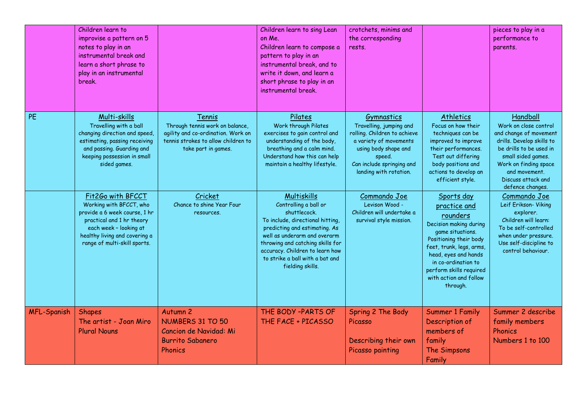|                    | Children learn to<br>improvise a pattern on 5<br>notes to play in an<br>instrumental break and<br>learn a short phrase to<br>play in an instrumental<br>break.                                        |                                                                                                                                               | Children learn to sing Lean<br>on Me.<br>Children learn to compose a<br>pattern to play in an<br>instrumental break, and to<br>write it down, and learn a<br>short phrase to play in an<br>instrumental break.                                                                          | crotchets, minims and<br>the corresponding<br>rests.                                                                                                                                     |                                                                                                                                                                                                                                                            | pieces to play in a<br>performance to<br>parents.                                                                                                                                                                             |
|--------------------|-------------------------------------------------------------------------------------------------------------------------------------------------------------------------------------------------------|-----------------------------------------------------------------------------------------------------------------------------------------------|-----------------------------------------------------------------------------------------------------------------------------------------------------------------------------------------------------------------------------------------------------------------------------------------|------------------------------------------------------------------------------------------------------------------------------------------------------------------------------------------|------------------------------------------------------------------------------------------------------------------------------------------------------------------------------------------------------------------------------------------------------------|-------------------------------------------------------------------------------------------------------------------------------------------------------------------------------------------------------------------------------|
| PE                 | Multi-skills<br>Travelling with a ball<br>changing direction and speed,<br>estimating, passing receiving<br>and passing. Guarding and<br>keeping possession in small<br>sided games.                  | Tennis<br>Through tennis work on balance,<br>agility and co-ordination. Work on<br>tennis strokes to allow children to<br>take part in games. | Pilates<br>Work through Pilates<br>exercises to gain control and<br>understanding of the body,<br>breathing and a calm mind.<br>Understand how this can help<br>maintain a healthy lifestyle.                                                                                           | Gymnastics<br>Travelling, jumping and<br>rolling. Children to achieve<br>a variety of movements<br>using body shape and<br>speed.<br>Can include springing and<br>landing with rotation. | Athletics<br>Focus on how their<br>techniques can be<br>improved to improve<br>their performances.<br>Test out differing<br>body positions and<br>actions to develop an<br>efficient style.                                                                | Handball<br>Work on close control<br>and change of movement<br>drills. Develop skills to<br>be drills to be used in<br>small sided games.<br>Work on finding space<br>and movement.<br>Discuss attack and<br>defence changes. |
|                    | Fit2Go with BFCCT<br>Working with BFCCT, who<br>provide a 6 week course, 1 hr<br>practical and 1 hr theory<br>each week - looking at<br>healthy living and covering a<br>range of multi-skill sports. | Cricket<br>Chance to shine Year Four<br>resources.                                                                                            | Multiskills<br>Controlling a ball or<br>shuttlecock.<br>To include, directional hitting,<br>predicting and estimating. As<br>well as underarm and overarm<br>throwing and catching skills for<br>accuracy. Children to learn how<br>to strike a ball with a bat and<br>fielding skills. | Commando Joe<br>Levison Wood -<br>Children will undertake a<br>survival style mission.                                                                                                   | Sports day<br>practice and<br>rounders<br>Decision making during<br>game situations.<br>Positioning their body<br>feet, trunk, legs, arms,<br>head, eyes and hands<br>in co-ordination to<br>perform skills required<br>with action and follow<br>through. | Commando Joe<br>Leif Erikson- Viking<br>explorer.<br>Children will learn:<br>To be self-controlled<br>when under pressure.<br>Use self-discipline to<br>control behaviour.                                                    |
| <b>MFL-Spanish</b> | <b>Shapes</b><br>The artist - Joan Miro<br><b>Plural Nouns</b>                                                                                                                                        | Autumn <sub>2</sub><br><b>NUMBERS 31 TO 50</b><br>Cancion de Navidad: Mi<br><b>Burrito Sabanero</b><br>Phonics                                | THE BODY -PARTS OF<br>THE FACE + PICASSO                                                                                                                                                                                                                                                | Spring 2 The Body<br>Picasso<br>Describing their own<br>Picasso painting                                                                                                                 | <b>Summer 1 Family</b><br>Description of<br>members of<br>family<br>The Simpsons<br>Family                                                                                                                                                                 | Summer 2 describe<br>family members<br>Phonics<br>Numbers 1 to 100                                                                                                                                                            |